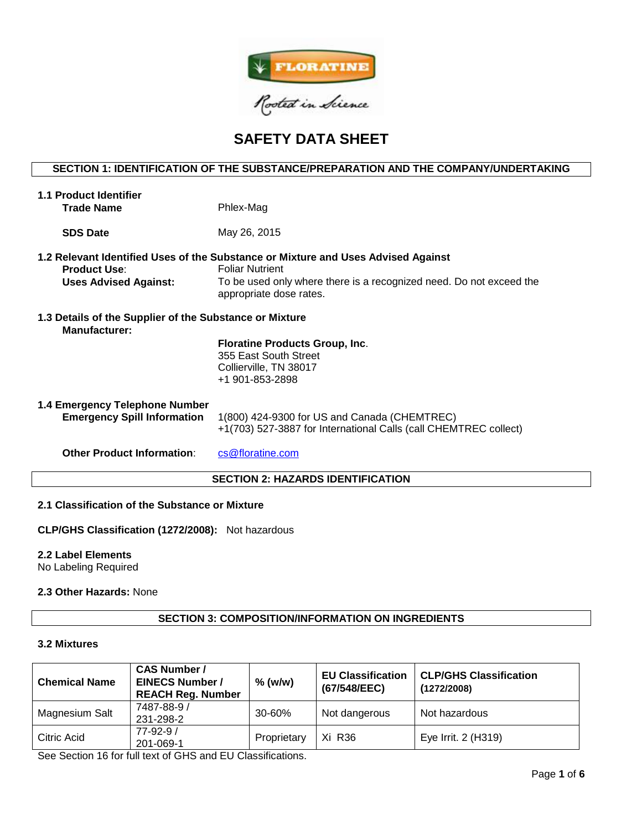

# **SAFETY DATA SHEET**

# **SECTION 1: IDENTIFICATION OF THE SUBSTANCE/PREPARATION AND THE COMPANY/UNDERTAKING**

| <b>1.1 Product Identifier</b>                                                   |                                                                                                                                                                                    |  |  |  |  |  |
|---------------------------------------------------------------------------------|------------------------------------------------------------------------------------------------------------------------------------------------------------------------------------|--|--|--|--|--|
| <b>Trade Name</b>                                                               | Phlex-Mag                                                                                                                                                                          |  |  |  |  |  |
|                                                                                 |                                                                                                                                                                                    |  |  |  |  |  |
| <b>SDS Date</b>                                                                 | May 26, 2015                                                                                                                                                                       |  |  |  |  |  |
| <b>Product Use:</b><br><b>Uses Advised Against:</b>                             | 1.2 Relevant Identified Uses of the Substance or Mixture and Uses Advised Against<br><b>Foliar Nutrient</b><br>To be used only where there is a recognized need. Do not exceed the |  |  |  |  |  |
|                                                                                 | appropriate dose rates.                                                                                                                                                            |  |  |  |  |  |
| 1.3 Details of the Supplier of the Substance or Mixture<br><b>Manufacturer:</b> |                                                                                                                                                                                    |  |  |  |  |  |
|                                                                                 | <b>Floratine Products Group, Inc.</b><br>355 East South Street                                                                                                                     |  |  |  |  |  |
|                                                                                 | Collierville, TN 38017                                                                                                                                                             |  |  |  |  |  |
|                                                                                 | +1 901-853-2898                                                                                                                                                                    |  |  |  |  |  |
| 1.4 Emergency Telephone Number                                                  |                                                                                                                                                                                    |  |  |  |  |  |
| <b>Emergency Spill Information</b>                                              | 1(800) 424-9300 for US and Canada (CHEMTREC)<br>+1(703) 527-3887 for International Calls (call CHEMTREC collect)                                                                   |  |  |  |  |  |
| <b>Other Product Information:</b>                                               | cs@floratine.com                                                                                                                                                                   |  |  |  |  |  |
| <b>SECTION 2: HAZARDS IDENTIFICATION</b>                                        |                                                                                                                                                                                    |  |  |  |  |  |

# **2.1 Classification of the Substance or Mixture**

**CLP/GHS Classification (1272/2008):** Not hazardous

# **2.2 Label Elements**

No Labeling Required

### **2.3 Other Hazards:** None

# **SECTION 3: COMPOSITION/INFORMATION ON INGREDIENTS**

#### **3.2 Mixtures**

| <b>Chemical Name</b> | <b>CAS Number /</b><br><b>EINECS Number /</b><br><b>REACH Reg. Number</b> | $%$ (w/w)   | <b>EU Classification</b><br>(67/548/EEC) | <b>CLP/GHS Classification</b><br>(1272/2008) |
|----------------------|---------------------------------------------------------------------------|-------------|------------------------------------------|----------------------------------------------|
| Magnesium Salt       | 7487-88-9 /<br>231-298-2                                                  | $30 - 60%$  | Not dangerous                            | Not hazardous                                |
| Citric Acid          | $77 - 92 - 9/$<br>201-069-1                                               | Proprietary | Xi R36                                   | Eye Irrit. 2 (H319)                          |

See Section 16 for full text of GHS and EU Classifications.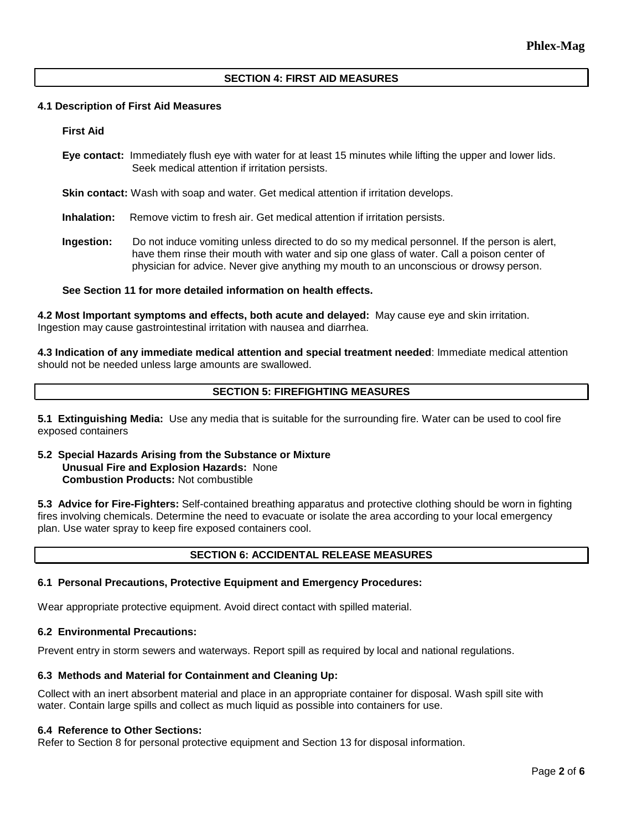## **SECTION 4: FIRST AID MEASURES**

#### **4.1 Description of First Aid Measures**

#### **First Aid**

**Eye contact:** Immediately flush eye with water for at least 15 minutes while lifting the upper and lower lids. Seek medical attention if irritation persists.

**Skin contact:** Wash with soap and water. Get medical attention if irritation develops.

**Inhalation:** Remove victim to fresh air. Get medical attention if irritation persists.

**Ingestion:** Do not induce vomiting unless directed to do so my medical personnel. If the person is alert, have them rinse their mouth with water and sip one glass of water. Call a poison center of physician for advice. Never give anything my mouth to an unconscious or drowsy person.

#### **See Section 11 for more detailed information on health effects.**

**4.2 Most Important symptoms and effects, both acute and delayed:** May cause eye and skin irritation. Ingestion may cause gastrointestinal irritation with nausea and diarrhea.

**4.3 Indication of any immediate medical attention and special treatment needed**: Immediate medical attention should not be needed unless large amounts are swallowed.

# **SECTION 5: FIREFIGHTING MEASURES**

**5.1 Extinguishing Media:** Use any media that is suitable for the surrounding fire. Water can be used to cool fire exposed containers

#### **5.2 Special Hazards Arising from the Substance or Mixture Unusual Fire and Explosion Hazards:** None **Combustion Products:** Not combustible

**5.3 Advice for Fire-Fighters:** Self-contained breathing apparatus and protective clothing should be worn in fighting fires involving chemicals. Determine the need to evacuate or isolate the area according to your local emergency plan. Use water spray to keep fire exposed containers cool.

# **SECTION 6: ACCIDENTAL RELEASE MEASURES**

#### **6.1 Personal Precautions, Protective Equipment and Emergency Procedures:**

Wear appropriate protective equipment. Avoid direct contact with spilled material.

## **6.2 Environmental Precautions:**

Prevent entry in storm sewers and waterways. Report spill as required by local and national regulations.

#### **6.3 Methods and Material for Containment and Cleaning Up:**

Collect with an inert absorbent material and place in an appropriate container for disposal. Wash spill site with water. Contain large spills and collect as much liquid as possible into containers for use.

#### **6.4 Reference to Other Sections:**

Refer to Section 8 for personal protective equipment and Section 13 for disposal information.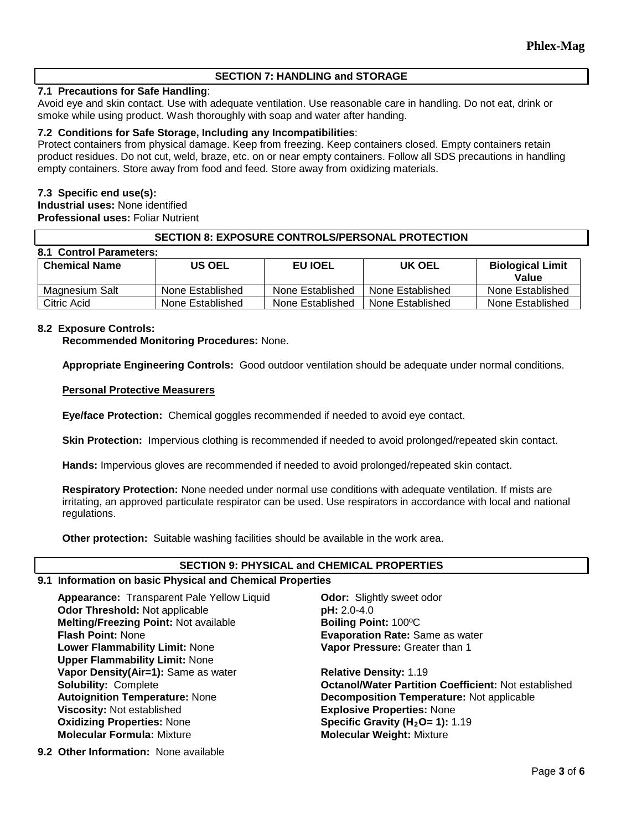# **SECTION 7: HANDLING and STORAGE**

# **7.1 Precautions for Safe Handling**:

Avoid eye and skin contact. Use with adequate ventilation. Use reasonable care in handling. Do not eat, drink or smoke while using product. Wash thoroughly with soap and water after handing.

#### **7.2 Conditions for Safe Storage, Including any Incompatibilities**:

Protect containers from physical damage. Keep from freezing. Keep containers closed. Empty containers retain product residues. Do not cut, weld, braze, etc. on or near empty containers. Follow all SDS precautions in handling empty containers. Store away from food and feed. Store away from oxidizing materials.

## **7.3 Specific end use(s):**

**Industrial uses:** None identified **Professional uses:** Foliar Nutrient

#### **SECTION 8: EXPOSURE CONTROLS/PERSONAL PROTECTION**

| 8.1 Control Parameters: |                  |                  |                  |                                  |  |  |  |  |
|-------------------------|------------------|------------------|------------------|----------------------------------|--|--|--|--|
| <b>Chemical Name</b>    | <b>US OEL</b>    | <b>EU IOEL</b>   | UK OEL           | <b>Biological Limit</b><br>Value |  |  |  |  |
| Magnesium Salt          | None Established | None Established | None Established | None Established                 |  |  |  |  |
| Citric Acid             | None Established | None Established | None Established | None Established                 |  |  |  |  |

## **8.2 Exposure Controls:**

**Recommended Monitoring Procedures:** None.

**Appropriate Engineering Controls:** Good outdoor ventilation should be adequate under normal conditions.

#### **Personal Protective Measurers**

**Eye/face Protection:** Chemical goggles recommended if needed to avoid eye contact.

**Skin Protection:** Impervious clothing is recommended if needed to avoid prolonged/repeated skin contact.

**Hands:** Impervious gloves are recommended if needed to avoid prolonged/repeated skin contact.

**Respiratory Protection:** None needed under normal use conditions with adequate ventilation. If mists are irritating, an approved particulate respirator can be used. Use respirators in accordance with local and national regulations.

**Other protection:** Suitable washing facilities should be available in the work area.

#### **SECTION 9: PHYSICAL and CHEMICAL PROPERTIES**

#### **9.1 Information on basic Physical and Chemical Properties**

**Appearance:** Transparent Pale Yellow Liquid **Odor:** Slightly sweet odor **Odor Threshold:** Not applicable **pH:** 2.0-4.0 **Melting/Freezing Point: Not available <b>Boiling Point:** 100°C **Flash Point:** None **Evaporation Rate:** Same as water **Lower Flammability Limit:** None **Upper Flammability Limit:** None **Vapor Density(Air=1):** Same as water **Relative Density: 1.19 Viscosity:** Not established **Explosive Properties:** None **Oxidizing Properties: None <b>Specific Gravity (H<sub>2</sub>O= 1):** 1.19<br> **Molecular Formula:** Mixture **State of Molecular Weight:** Mixture

**Vapor Pressure:** Greater than 1

**Solubility:** Complete **Octanol/Water Partition Coefficient:** Not established **Autoignition Temperature:** None **Decomposition Temperature:** Not applicable **Molecular Weight: Mixture** 

**9.2 Other Information:** None available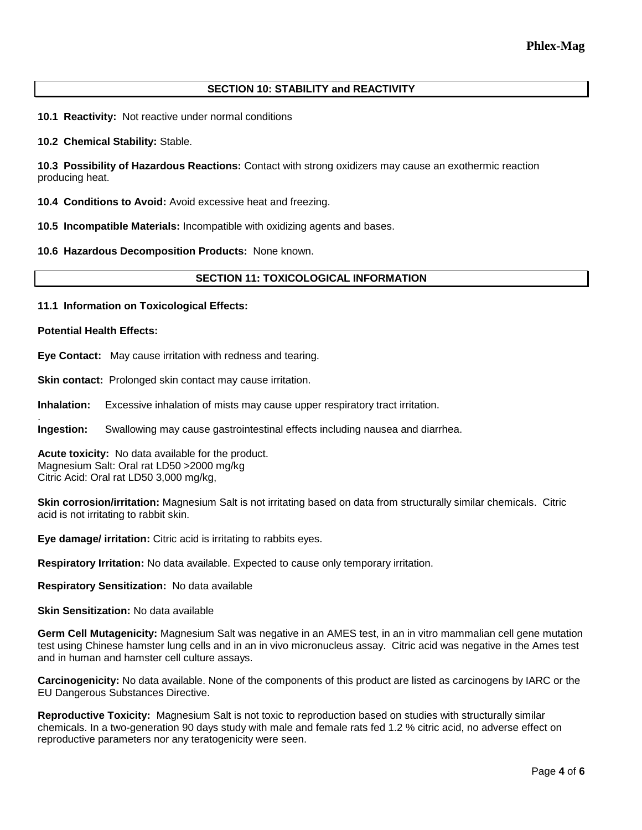# **SECTION 10: STABILITY and REACTIVITY**

**10.1 Reactivity:** Not reactive under normal conditions

**10.2 Chemical Stability:** Stable.

**10.3 Possibility of Hazardous Reactions:** Contact with strong oxidizers may cause an exothermic reaction producing heat.

**10.4 Conditions to Avoid:** Avoid excessive heat and freezing.

**10.5 Incompatible Materials:** Incompatible with oxidizing agents and bases.

**10.6 Hazardous Decomposition Products:** None known.

# **SECTION 11: TOXICOLOGICAL INFORMATION**

**11.1 Information on Toxicological Effects:** 

**Potential Health Effects:**

.

**Eye Contact:** May cause irritation with redness and tearing.

**Skin contact:** Prolonged skin contact may cause irritation.

**Inhalation:** Excessive inhalation of mists may cause upper respiratory tract irritation.

**Ingestion:** Swallowing may cause gastrointestinal effects including nausea and diarrhea.

**Acute toxicity:** No data available for the product. Magnesium Salt: Oral rat LD50 >2000 mg/kg Citric Acid: Oral rat LD50 3,000 mg/kg,

**Skin corrosion/irritation:** Magnesium Salt is not irritating based on data from structurally similar chemicals. Citric acid is not irritating to rabbit skin.

**Eye damage/ irritation:** Citric acid is irritating to rabbits eyes.

**Respiratory Irritation:** No data available. Expected to cause only temporary irritation.

**Respiratory Sensitization:** No data available

**Skin Sensitization:** No data available

**Germ Cell Mutagenicity:** Magnesium Salt was negative in an AMES test, in an in vitro mammalian cell gene mutation test using Chinese hamster lung cells and in an in vivo micronucleus assay. Citric acid was negative in the Ames test and in human and hamster cell culture assays.

**Carcinogenicity:** No data available. None of the components of this product are listed as carcinogens by IARC or the EU Dangerous Substances Directive.

**Reproductive Toxicity:** Magnesium Salt is not toxic to reproduction based on studies with structurally similar chemicals. In a two-generation 90 days study with male and female rats fed 1.2 % citric acid, no adverse effect on reproductive parameters nor any teratogenicity were seen.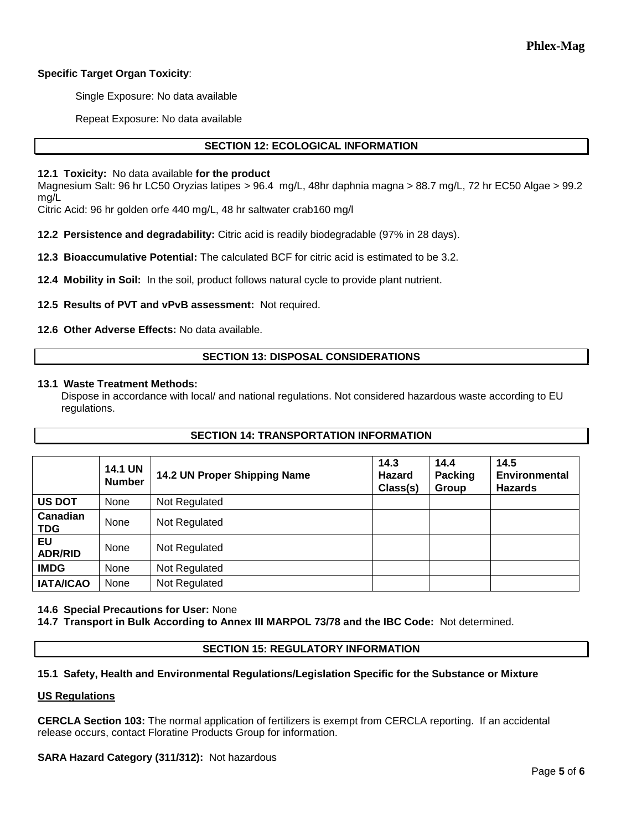# **Specific Target Organ Toxicity**:

Single Exposure: No data available

Repeat Exposure: No data available

# **SECTION 12: ECOLOGICAL INFORMATION**

## **12.1 Toxicity:** No data available **for the product**

Magnesium Salt: 96 hr LC50 Oryzias latipes > 96.4 mg/L, 48hr daphnia magna > 88.7 mg/L, 72 hr EC50 Algae > 99.2 mg/L

Citric Acid: 96 hr golden orfe 440 mg/L, 48 hr saltwater crab160 mg/l

**12.2 Persistence and degradability:** Citric acid is readily biodegradable (97% in 28 days).

**12.3 Bioaccumulative Potential:** The calculated BCF for citric acid is estimated to be 3.2.

**12.4 Mobility in Soil:** In the soil, product follows natural cycle to provide plant nutrient.

**12.5 Results of PVT and vPvB assessment:** Not required.

**12.6 Other Adverse Effects:** No data available.

# **SECTION 13: DISPOSAL CONSIDERATIONS**

#### **13.1 Waste Treatment Methods:**

Dispose in accordance with local/ and national regulations. Not considered hazardous waste according to EU regulations.

**SECTION 14: TRANSPORTATION INFORMATION**

|                             | <b>14.1 UN</b><br><b>Number</b> | 14.2 UN Proper Shipping Name | 14.3<br>Hazard<br>Class(s) | 14.4<br><b>Packing</b><br>Group | 14.5<br><b>Environmental</b><br><b>Hazards</b> |
|-----------------------------|---------------------------------|------------------------------|----------------------------|---------------------------------|------------------------------------------------|
| <b>US DOT</b>               | None                            | Not Regulated                |                            |                                 |                                                |
| Canadian<br><b>TDG</b>      | None                            | Not Regulated                |                            |                                 |                                                |
| <b>EU</b><br><b>ADR/RID</b> | None                            | Not Regulated                |                            |                                 |                                                |
| <b>IMDG</b>                 | None                            | Not Regulated                |                            |                                 |                                                |
| <b>IATA/ICAO</b>            | None                            | Not Regulated                |                            |                                 |                                                |

# **14.6 Special Precautions for User:** None

**14.7 Transport in Bulk According to Annex III MARPOL 73/78 and the IBC Code:** Not determined.

## **SECTION 15: REGULATORY INFORMATION**

# **15.1 Safety, Health and Environmental Regulations/Legislation Specific for the Substance or Mixture**

# **US Regulations**

**CERCLA Section 103:** The normal application of fertilizers is exempt from CERCLA reporting. If an accidental release occurs, contact Floratine Products Group for information.

# **SARA Hazard Category (311/312):** Not hazardous